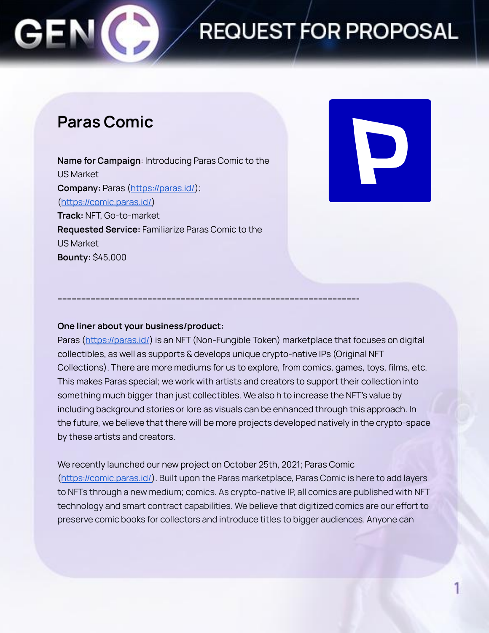### **REQUEST FOR PROPOSAL**

### **Paras Comic**

**Name for Campaign**: Introducing Paras Comic to the US Market **Company:** Paras ([https://paras.id/\)](https://paras.id/); ([https://comic.paras.id/\)](https://comic.paras.id/) **Track:** NFT, Go-to-market **Requested Service:** Familiarize Paras Comic to the US Market **Bounty:** \$45,000



#### **One liner about your business/product:**

Paras (<https://paras.id/>) is an NFT (Non-Fungible Token) marketplace that focuses on digital collectibles, as well as supports & develops unique crypto-native IPs (Original NFT Collections). There are more mediums for us to explore, from comics, games, toys, films, etc. This makes Paras special; we work with artists and creators to support their collection into something much bigger than just collectibles. We also h to increase the NFT's value by including background stories or lore as visuals can be enhanced through this approach. In the future, we believe that there will be more projects developed natively in the crypto-space by these artists and creators.

**------------------------------------------------------------------------------------------------------------------------------**

We recently launched our new project on October 25th, 2021; Paras Comic ([https://comic.paras.id/\)](https://comic.paras.id/). Built upon the Paras marketplace, Paras Comic is here to add layers to NFTs through a new medium; comics. As crypto-native IP, all comics are published with NFT technology and smart contract capabilities. We believe that digitized comics are our effort to preserve comic books for collectors and introduce titles to bigger audiences. Anyone can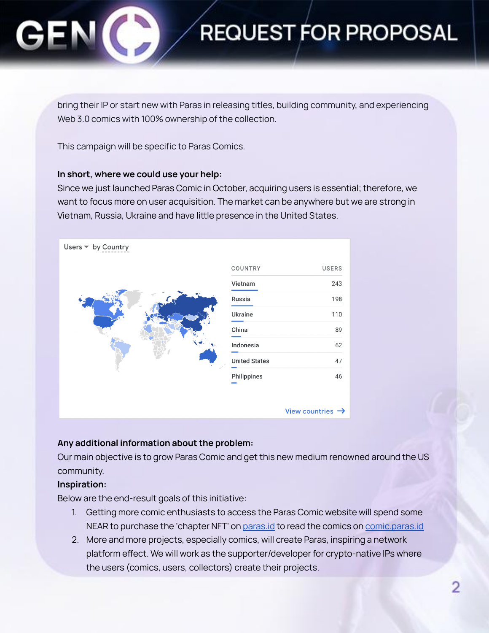## **REQUEST FOR PROPOSAL**

bring their IP or start new with Paras in releasing titles, building community, and experiencing Web 3.0 comics with 100% ownership of the collection.

This campaign will be specific to Paras Comics.

#### **In short, where we could use your help:**

Since we just launched Paras Comic in October, acquiring users is essential; therefore, we want to focus more on user acquisition. The market can be anywhere but we are strong in Vietnam, Russia, Ukraine and have little presence in the United States.



#### **Any additional information about the problem:**

Our main objective is to grow Paras Comic and get this new medium renowned around the US community.

#### **Inspiration:**

Below are the end-result goals of this initiative:

- 1. Getting more comic enthusiasts to access the Paras Comic website will spend some NEAR to purchase the 'chapter NFT' on **[paras.id](https://paras.id/)** to read the comics on *[comic.paras.id](https://comic.paras.id/)*
- 2. More and more projects, especially comics, will create Paras, inspiring a network platform effect. We will work as the supporter/developer for crypto-native IPs where the users (comics, users, collectors) create their projects.